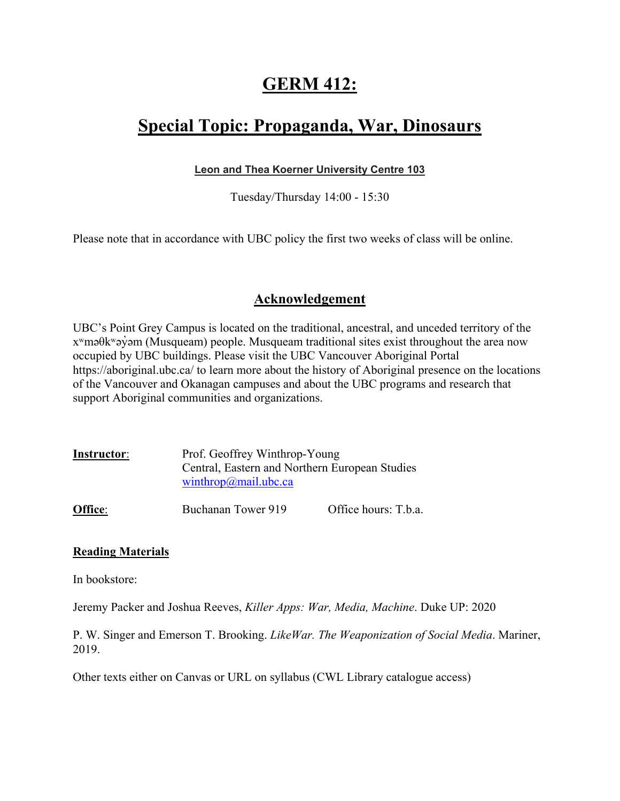### **GERM 412:**

### **Special Topic: Propaganda, War, Dinosaurs**

### **Leon and Thea Koerner University Centre 103**

Tuesday/Thursday 14:00 - 15:30

Please note that in accordance with UBC policy the first two weeks of class will be online.

### **Acknowledgement**

UBC's Point Grey Campus is located on the traditional, ancestral, and unceded territory of the xʷməθkʷəy̓əm (Musqueam) people. Musqueam traditional sites exist throughout the area now occupied by UBC buildings. Please visit the UBC Vancouver Aboriginal Portal https://aboriginal.ubc.ca/ to learn more about the history of Aboriginal presence on the locations of the Vancouver and Okanagan campuses and about the UBC programs and research that support Aboriginal communities and organizations.

| Instructor: | Prof. Geoffrey Winthrop-Young                  |  |
|-------------|------------------------------------------------|--|
|             | Central, Eastern and Northern European Studies |  |
|             | winthrop@mail.ubc.ca                           |  |

**Office:** Buchanan Tower 919 Office hours: T.b.a.

### **Reading Materials**

In bookstore:

Jeremy Packer and Joshua Reeves, *Killer Apps: War, Media, Machine*. Duke UP: 2020

P. W. Singer and Emerson T. Brooking. *LikeWar. The Weaponization of Social Media*. Mariner, 2019.

Other texts either on Canvas or URL on syllabus (CWL Library catalogue access)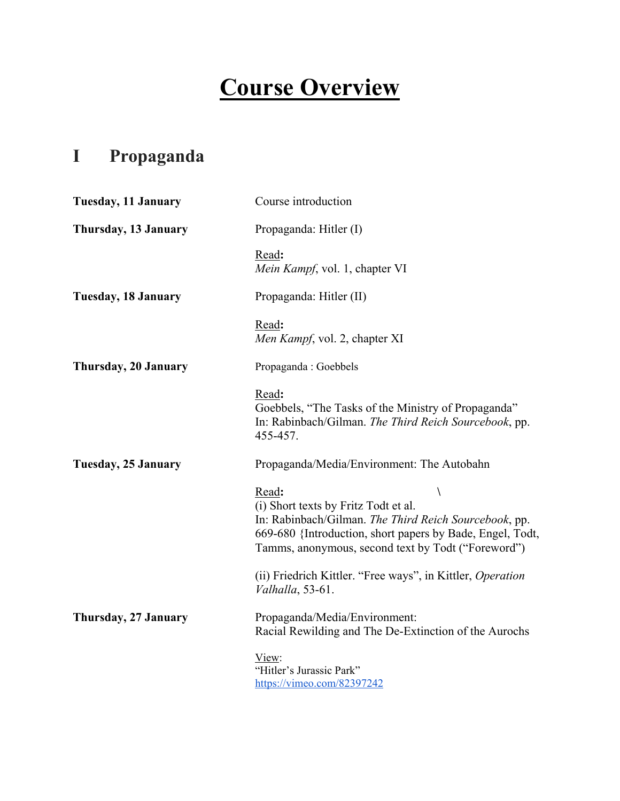# **Course Overview**

# **I Propaganda**

| <b>Tuesday, 11 January</b> | Course introduction                                                                                                                                                                                                            |
|----------------------------|--------------------------------------------------------------------------------------------------------------------------------------------------------------------------------------------------------------------------------|
| Thursday, 13 January       | Propaganda: Hitler (I)                                                                                                                                                                                                         |
|                            | Read:<br>Mein Kampf, vol. 1, chapter VI                                                                                                                                                                                        |
| <b>Tuesday, 18 January</b> | Propaganda: Hitler (II)                                                                                                                                                                                                        |
|                            | Read:<br>Men Kampf, vol. 2, chapter XI                                                                                                                                                                                         |
| Thursday, 20 January       | Propaganda: Goebbels                                                                                                                                                                                                           |
|                            | Read:<br>Goebbels, "The Tasks of the Ministry of Propaganda"<br>In: Rabinbach/Gilman. The Third Reich Sourcebook, pp.<br>455-457.                                                                                              |
| Tuesday, 25 January        | Propaganda/Media/Environment: The Autobahn                                                                                                                                                                                     |
|                            | Read:<br>Λ<br>(i) Short texts by Fritz Todt et al.<br>In: Rabinbach/Gilman. The Third Reich Sourcebook, pp.<br>669-680 {Introduction, short papers by Bade, Engel, Todt,<br>Tamms, anonymous, second text by Todt ("Foreword") |
|                            | (ii) Friedrich Kittler. "Free ways", in Kittler, Operation<br>Valhalla, 53-61.                                                                                                                                                 |
| Thursday, 27 January       | Propaganda/Media/Environment:<br>Racial Rewilding and The De-Extinction of the Aurochs                                                                                                                                         |
|                            | View:<br>"Hitler's Jurassic Park"<br>https://vimeo.com/82397242                                                                                                                                                                |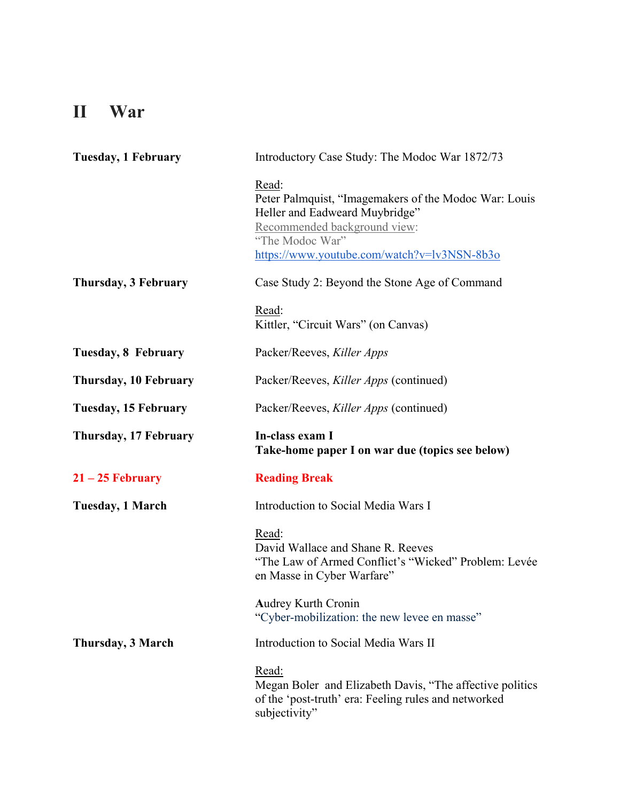## **II War**

| <b>Tuesday, 1 February</b>  | Introductory Case Study: The Modoc War 1872/73                                                                                                                                                     |  |
|-----------------------------|----------------------------------------------------------------------------------------------------------------------------------------------------------------------------------------------------|--|
|                             | Read:<br>Peter Palmquist, "Imagemakers of the Modoc War: Louis<br>Heller and Eadweard Muybridge"<br>Recommended background view:<br>"The Modoc War"<br>https://www.youtube.com/watch?v=lv3NSN-8b3o |  |
| Thursday, 3 February        | Case Study 2: Beyond the Stone Age of Command                                                                                                                                                      |  |
|                             | Read:<br>Kittler, "Circuit Wars" (on Canvas)                                                                                                                                                       |  |
| Tuesday, 8 February         | Packer/Reeves, Killer Apps                                                                                                                                                                         |  |
| Thursday, 10 February       | Packer/Reeves, Killer Apps (continued)                                                                                                                                                             |  |
| <b>Tuesday, 15 February</b> | Packer/Reeves, Killer Apps (continued)                                                                                                                                                             |  |
| Thursday, 17 February       | In-class exam I<br>Take-home paper I on war due (topics see below)                                                                                                                                 |  |
| $21 - 25$ February          | <b>Reading Break</b>                                                                                                                                                                               |  |
| Tuesday, 1 March            | Introduction to Social Media Wars I                                                                                                                                                                |  |
|                             | Read:<br>David Wallace and Shane R. Reeves<br>"The Law of Armed Conflict's "Wicked" Problem: Levée<br>en Masse in Cyber Warfare"                                                                   |  |
|                             | <b>Audrey Kurth Cronin</b><br>"Cyber-mobilization: the new levee en masse"                                                                                                                         |  |
| Thursday, 3 March           | Introduction to Social Media Wars II                                                                                                                                                               |  |
|                             | Read:<br>Megan Boler and Elizabeth Davis, "The affective politics<br>of the 'post-truth' era: Feeling rules and networked<br>subjectivity"                                                         |  |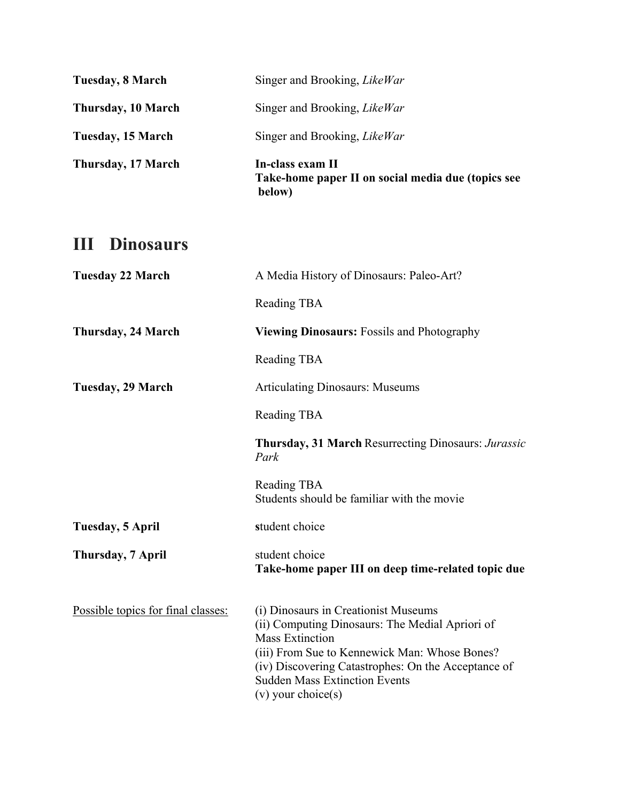| Thursday, 17 March | In-class exam II<br>Take-home paper II on social media due (topics see<br>below) |
|--------------------|----------------------------------------------------------------------------------|
| Tuesday, 15 March  | Singer and Brooking, <i>LikeWar</i>                                              |
| Thursday, 10 March | Singer and Brooking, <i>LikeWar</i>                                              |
| Tuesday, 8 March   | Singer and Brooking, <i>LikeWar</i>                                              |

### **III Dinosaurs**

| <b>Tuesday 22 March</b>            | A Media History of Dinosaurs: Paleo-Art?                                                                                                                                                                                                                                                     |
|------------------------------------|----------------------------------------------------------------------------------------------------------------------------------------------------------------------------------------------------------------------------------------------------------------------------------------------|
|                                    | Reading TBA                                                                                                                                                                                                                                                                                  |
| <b>Thursday, 24 March</b>          | <b>Viewing Dinosaurs:</b> Fossils and Photography                                                                                                                                                                                                                                            |
|                                    | Reading TBA                                                                                                                                                                                                                                                                                  |
| Tuesday, 29 March                  | <b>Articulating Dinosaurs: Museums</b>                                                                                                                                                                                                                                                       |
|                                    | Reading TBA                                                                                                                                                                                                                                                                                  |
|                                    | Thursday, 31 March Resurrecting Dinosaurs: Jurassic<br>Park                                                                                                                                                                                                                                  |
|                                    | Reading TBA<br>Students should be familiar with the movie                                                                                                                                                                                                                                    |
| Tuesday, 5 April                   | student choice                                                                                                                                                                                                                                                                               |
| Thursday, 7 April                  | student choice<br>Take-home paper III on deep time-related topic due                                                                                                                                                                                                                         |
| Possible topics for final classes: | (i) Dinosaurs in Creationist Museums<br>(ii) Computing Dinosaurs: The Medial Apriori of<br><b>Mass Extinction</b><br>(iii) From Sue to Kennewick Man: Whose Bones?<br>(iv) Discovering Catastrophes: On the Acceptance of<br><b>Sudden Mass Extinction Events</b><br>$(v)$ your choice $(s)$ |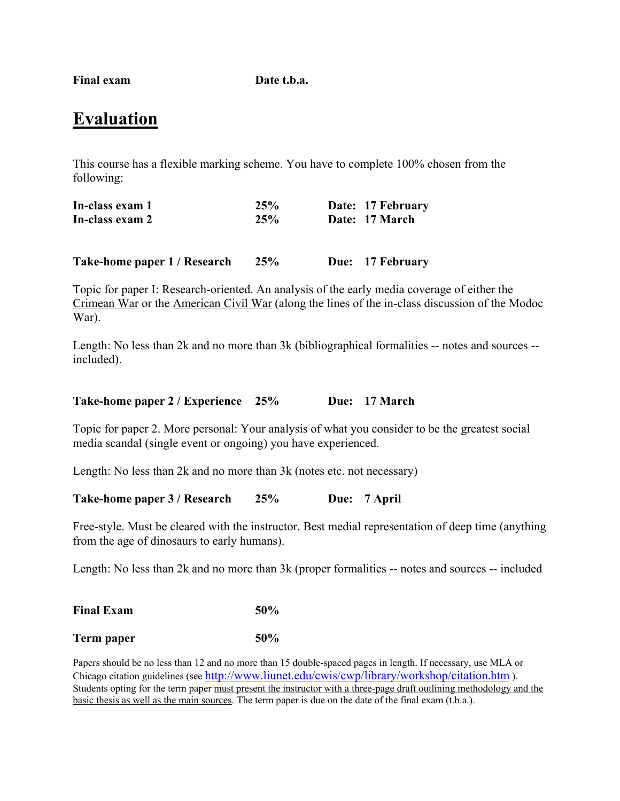**Final exam Date t.b.a.**

### **Evaluation**

This course has a flexible marking scheme. You have to complete 100% chosen from the following:

| In-class exam 1 | 25% | Date: 17 February |
|-----------------|-----|-------------------|
| In-class exam 2 | 25% | Date: 17 March    |
|                 |     |                   |
|                 |     |                   |

**Take-home paper 1 / Research 25% Due: 17 February**

Topic for paper I: Research-oriented. An analysis of the early media coverage of either the Crimean War or the American Civil War (along the lines of the in-class discussion of the Modoc War).

Length: No less than 2k and no more than 3k (bibliographical formalities -- notes and sources - included).

| Take-home paper 2 / Experience 25% |  |  | Due: 17 March |
|------------------------------------|--|--|---------------|
|------------------------------------|--|--|---------------|

Topic for paper 2. More personal: Your analysis of what you consider to be the greatest social media scandal (single event or ongoing) you have experienced.

Length: No less than 2k and no more than 3k (notes etc. not necessary)

**Take-home paper 3 / Research 25% Due: 7 April**

Free-style. Must be cleared with the instructor. Best medial representation of deep time (anything from the age of dinosaurs to early humans).

Length: No less than 2k and no more than 3k (proper formalities -- notes and sources -- included

| <b>Final Exam</b> | $50\%$ |
|-------------------|--------|
| Term paper        | 50%    |

Papers should be no less than 12 and no more than 15 double-spaced pages in length. If necessary, use MLA or Chicago citation guidelines (see <http://www.liunet.edu/cwis/cwp/library/workshop/citation.htm> ). Students opting for the term paper must present the instructor with a three-page draft outlining methodology and the basic thesis as well as the main sources. The term paper is due on the date of the final exam (t.b.a.).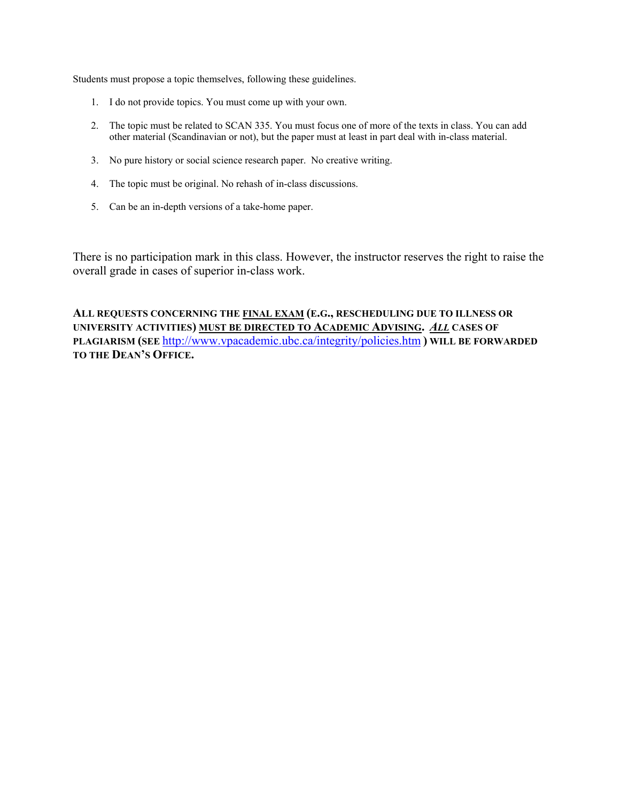Students must propose a topic themselves, following these guidelines.

- 1. I do not provide topics. You must come up with your own.
- 2. The topic must be related to SCAN 335. You must focus one of more of the texts in class. You can add other material (Scandinavian or not), but the paper must at least in part deal with in-class material.
- 3. No pure history or social science research paper. No creative writing.
- 4. The topic must be original. No rehash of in-class discussions.
- 5. Can be an in-depth versions of a take-home paper.

There is no participation mark in this class. However, the instructor reserves the right to raise the overall grade in cases of superior in-class work.

**ALL REQUESTS CONCERNING THE FINAL EXAM (E.G., RESCHEDULING DUE TO ILLNESS OR UNIVERSITY ACTIVITIES) MUST BE DIRECTED TO ACADEMIC ADVISING.** *ALL* **CASES OF PLAGIARISM (SEE** <http://www.vpacademic.ubc.ca/integrity/policies.htm> **) WILL BE FORWARDED TO THE DEAN'S OFFICE.**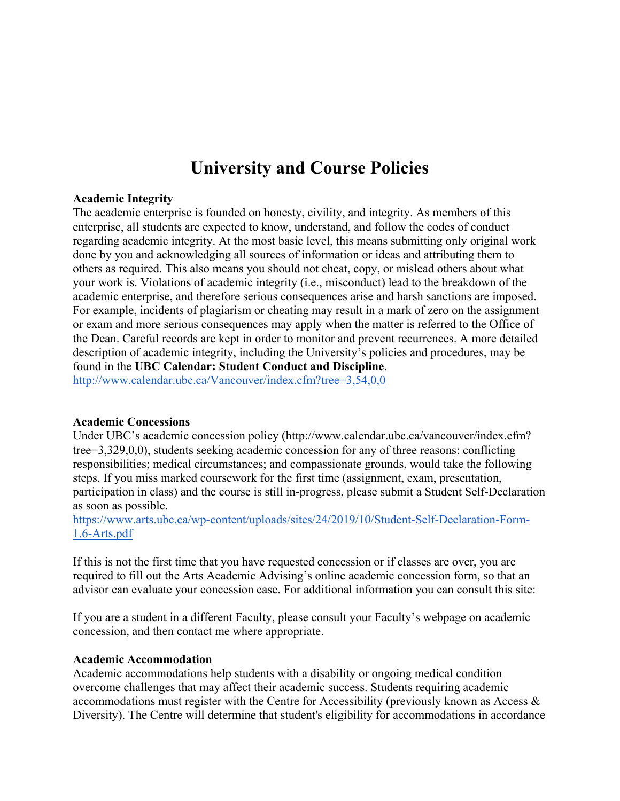### **University and Course Policies**

#### **Academic Integrity**

The academic enterprise is founded on honesty, civility, and integrity. As members of this enterprise, all students are expected to know, understand, and follow the codes of conduct regarding academic integrity. At the most basic level, this means submitting only original work done by you and acknowledging all sources of information or ideas and attributing them to others as required. This also means you should not cheat, copy, or mislead others about what your work is. Violations of academic integrity (i.e., misconduct) lead to the breakdown of the academic enterprise, and therefore serious consequences arise and harsh sanctions are imposed. For example, incidents of plagiarism or cheating may result in a mark of zero on the assignment or exam and more serious consequences may apply when the matter is referred to the Office of the Dean. Careful records are kept in order to monitor and prevent recurrences. A more detailed description of academic integrity, including the University's policies and procedures, may be found in the **UBC Calendar: Student Conduct and Discipline**. <http://www.calendar.ubc.ca/Vancouver/index.cfm?tree=3,54,0,0>

#### **Academic Concessions**

Under UBC's academic concession policy (http://www.calendar.ubc.ca/vancouver/index.cfm? tree=3,329,0,0), students seeking academic concession for any of three reasons: conflicting responsibilities; medical circumstances; and compassionate grounds, would take the following steps. If you miss marked coursework for the first time (assignment, exam, presentation, participation in class) and the course is still in-progress, please submit a Student Self-Declaration as soon as possible.

[https://www.arts.ubc.ca/wp-content/uploads/sites/24/2019/10/Student-Self-Declaration-](https://www.arts.ubc.ca/wp-content/uploads/sites/24/2019/10/Student-Self-Declaration-Form-1.6-Arts.pdf)Form-1.6-[Arts.pdf](https://www.arts.ubc.ca/wp-content/uploads/sites/24/2019/10/Student-Self-Declaration-Form-1.6-Arts.pdf)

If this is not the first time that you have requested concession or if classes are over, you are required to fill out the Arts Academic Advising's online academic concession form, so that an advisor can evaluate your concession case. For additional information you can consult this site:

If you are a student in a different Faculty, please consult your Faculty's webpage on academic concession, and then contact me where appropriate.

#### **Academic Accommodation**

Academic accommodations help students with a disability or ongoing medical condition overcome challenges that may affect their academic success. Students requiring academic accommodations must register with the Centre for Accessibility (previously known as Access & Diversity). The Centre will determine that student's eligibility for accommodations in accordance